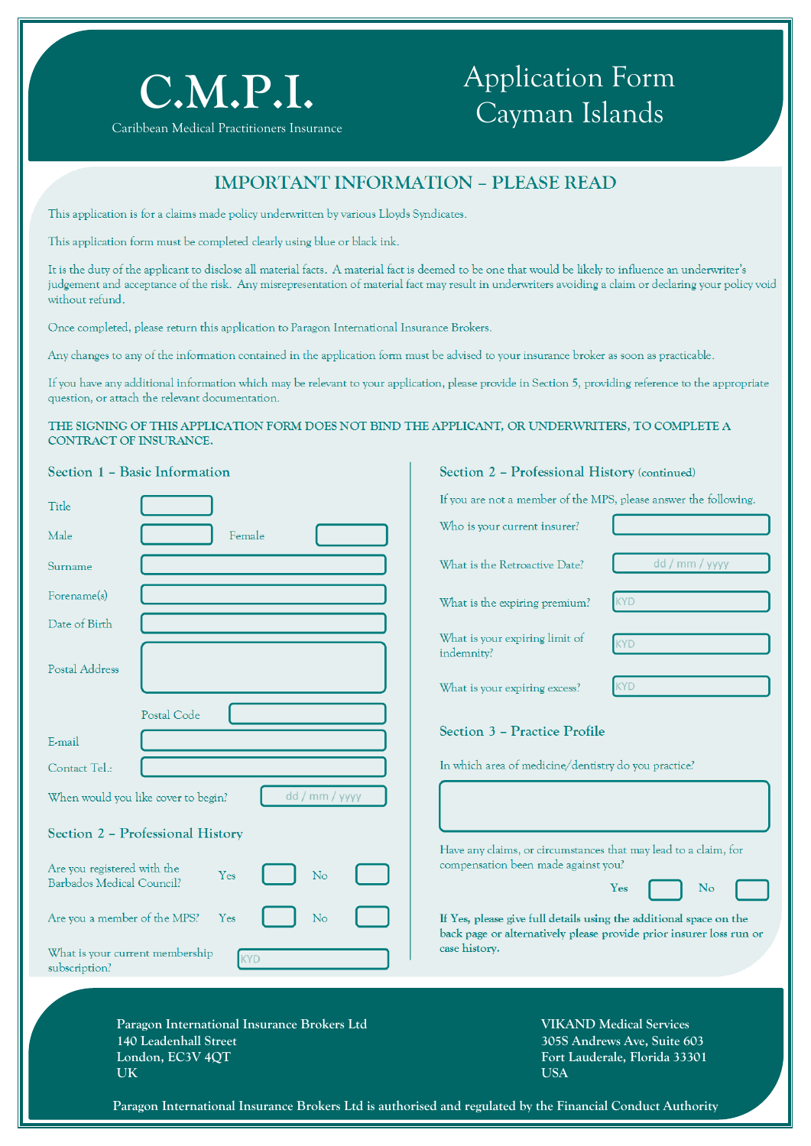

#### Caribbean Medical Practitioners Insurance

# Application Form Cayman Islands

**Section 2 – Professional History (continued)**

### **IMPORTANT INFORMATION – PLEASE READ**

This application is for a claims made policy underwritten by various Lloyds Syndicates.

This application form must be completed clearly using blue or black ink.

It is the duty of the applicant to disclose all material facts. A material fact is deemed to be one that would be likely to influence an underwriter's judgement and acceptance of the risk. Any misrepresentation of material fact may result in underwriters avoiding a claim or declaring your policy void without refund.

Once completed, please return this application to Paragon International Insurance Brokers.

Any changes to any of the information contained in the application form must be advised to your insurance broker as soon as practicable.

If you have any additional information which may be relevant to your application, please provide in Section 5, providing reference to the appropriate question, or attach the relevant documentation.

#### **THE SIGNING OF THIS APPLICATION FORM DOES NOT BIND THE APPLICANT, OR UNDERWRITERS, TO COMPLETE A CONTRACT OF INSURANCE.**

|  |  |  |  | Section 1 - Basic Information |
|--|--|--|--|-------------------------------|
|--|--|--|--|-------------------------------|

| Title                                                                                    | If you are not a member of the MPS, please answer the following.                                                                          |
|------------------------------------------------------------------------------------------|-------------------------------------------------------------------------------------------------------------------------------------------|
| Male<br>Female                                                                           | Who is your current insurer?                                                                                                              |
| Surname                                                                                  | dd / mm / yyyy<br>What is the Retroactive Date?                                                                                           |
| Forename(s)                                                                              | <b>KYD</b><br>What is the expiring premium?                                                                                               |
| Date of Birth                                                                            | What is your expiring limit of<br><b>KYD</b><br>indemnity?                                                                                |
| Postal Address                                                                           | <b>KYD</b><br>What is your expiring excess?                                                                                               |
| Postal Code<br>E-mail                                                                    | Section 3 - Practice Profile                                                                                                              |
| Contact Tel.:                                                                            | In which area of medicine/dentistry do you practice?                                                                                      |
| dd / mm / yyyy<br>When would you like cover to begin?                                    |                                                                                                                                           |
| Section 2 - Professional History                                                         |                                                                                                                                           |
| Are you registered with the<br><b>Yes</b><br>No<br>Barbados Medical Council?             | Have any claims, or circumstances that may lead to a claim, for<br>compensation been made against you?<br>Yes<br>No                       |
| Are you a member of the MPS?<br>No<br>Yes                                                | If Yes, please give full details using the additional space on the<br>back page or alternatively please provide prior insurer loss run or |
| What is your current membership<br>KYD<br>subscription?                                  | case history.                                                                                                                             |
| Paragon International Insurance Brokers Ltd<br>140 Leadenhall Street<br>London, EC3V 4QT | <b>VIKAND Medical Services</b><br>305S Andrews Ave, Suite 603<br>Fort Lauderale, Florida 33301                                            |
| <b>UK</b>                                                                                | <b>USA</b>                                                                                                                                |

**Paragon International Insurance Brokers Ltd is authorised and regulated by the Financial Conduct Authority**